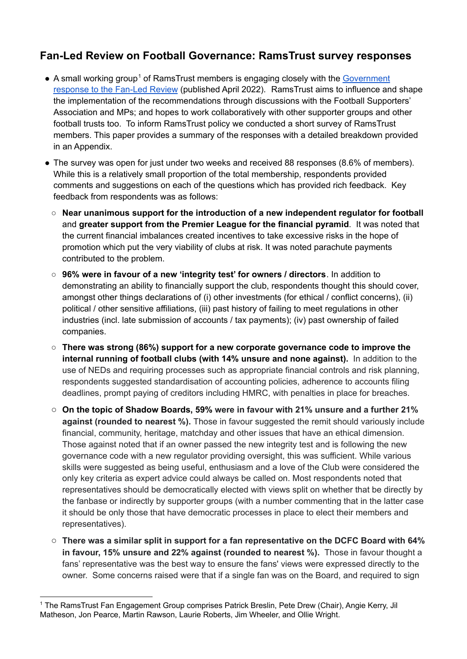# **Fan-Led Review on Football Governance: RamsTrust survey responses**

- A small working group<sup>1</sup> of RamsTrust members is engaging closely with the [Government](https://assets.publishing.service.gov.uk/government/uploads/system/uploads/attachment_data/file/1071032/E02740691_CP_658_Gov_Resp_Ind_Review_Football_Accessible.pdf) [response](https://assets.publishing.service.gov.uk/government/uploads/system/uploads/attachment_data/file/1071032/E02740691_CP_658_Gov_Resp_Ind_Review_Football_Accessible.pdf) to the Fan-Led Review (published April 2022). RamsTrust aims to influence and shape the implementation of the recommendations through discussions with the Football Supporters' Association and MPs; and hopes to work collaboratively with other supporter groups and other football trusts too. To inform RamsTrust policy we conducted a short survey of RamsTrust members. This paper provides a summary of the responses with a detailed breakdown provided in an Appendix.
- The survey was open for just under two weeks and received 88 responses (8.6% of members). While this is a relatively small proportion of the total membership, respondents provided comments and suggestions on each of the questions which has provided rich feedback. Key feedback from respondents was as follows:
	- **Near unanimous support for the introduction of a new independent regulator for football** and **greater support from the Premier League for the financial pyramid**. It was noted that the current financial imbalances created incentives to take excessive risks in the hope of promotion which put the very viability of clubs at risk. It was noted parachute payments contributed to the problem.
	- **96% were in favour of a new 'integrity test' for owners / directors**. In addition to demonstrating an ability to financially support the club, respondents thought this should cover, amongst other things declarations of (i) other investments (for ethical / conflict concerns), (ii) political / other sensitive affiliations, (iii) past history of failing to meet regulations in other industries (incl. late submission of accounts / tax payments); (iv) past ownership of failed companies.
	- **There was strong (86%) support for a new corporate governance code to improve the internal running of football clubs (with 14% unsure and none against).** In addition to the use of NEDs and requiring processes such as appropriate financial controls and risk planning, respondents suggested standardisation of accounting policies, adherence to accounts filing deadlines, prompt paying of creditors including HMRC, with penalties in place for breaches.
	- **On the topic of Shadow Boards, 59% were in favour with 21% unsure and a further 21% against (rounded to nearest %).** Those in favour suggested the remit should variously include financial, community, heritage, matchday and other issues that have an ethical dimension. Those against noted that if an owner passed the new integrity test and is following the new governance code with a new regulator providing oversight, this was sufficient. While various skills were suggested as being useful, enthusiasm and a love of the Club were considered the only key criteria as expert advice could always be called on. Most respondents noted that representatives should be democratically elected with views split on whether that be directly by the fanbase or indirectly by supporter groups (with a number commenting that in the latter case it should be only those that have democratic processes in place to elect their members and representatives).
	- **There was a similar split in support for a fan representative on the DCFC Board with 64% in favour, 15% unsure and 22% against (rounded to nearest %).** Those in favour thought a fans' representative was the best way to ensure the fans' views were expressed directly to the owner. Some concerns raised were that if a single fan was on the Board, and required to sign

<sup>1</sup> The RamsTrust Fan Engagement Group comprises Patrick Breslin, Pete Drew (Chair), Angie Kerry, Jil Matheson, Jon Pearce, Martin Rawson, Laurie Roberts, Jim Wheeler, and Ollie Wright.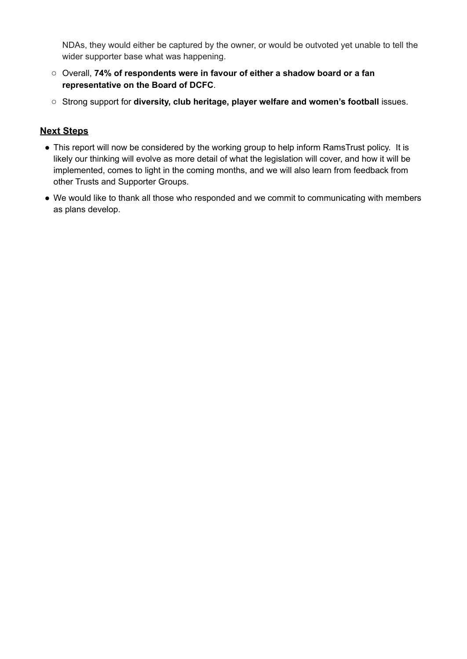NDAs, they would either be captured by the owner, or would be outvoted yet unable to tell the wider supporter base what was happening.

- Overall, **74% of respondents were in favour of either a shadow board or a fan representative on the Board of DCFC**.
- Strong support for **diversity, club heritage, player welfare and women's football** issues.

## **Next Steps**

- This report will now be considered by the working group to help inform RamsTrust policy. It is likely our thinking will evolve as more detail of what the legislation will cover, and how it will be implemented, comes to light in the coming months, and we will also learn from feedback from other Trusts and Supporter Groups.
- We would like to thank all those who responded and we commit to communicating with members as plans develop.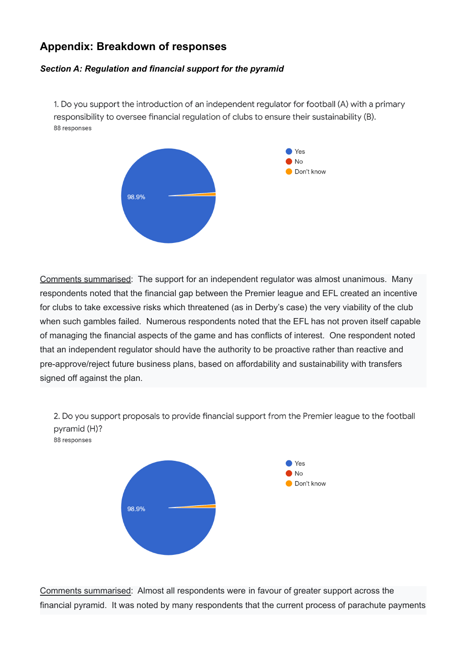# **Appendix: Breakdown of responses**

### *Section A: Regulation and financial support for the pyramid*

1. Do you support the introduction of an independent regulator for football (A) with a primary responsibility to oversee financial regulation of clubs to ensure their sustainability (B). 88 responses



Comments summarised: The support for an independent regulator was almost unanimous. Many respondents noted that the financial gap between the Premier league and EFL created an incentive for clubs to take excessive risks which threatened (as in Derby's case) the very viability of the club when such gambles failed. Numerous respondents noted that the EFL has not proven itself capable of managing the financial aspects of the game and has conflicts of interest. One respondent noted that an independent regulator should have the authority to be proactive rather than reactive and pre-approve/reject future business plans, based on affordability and sustainability with transfers signed off against the plan.

2. Do you support proposals to provide financial support from the Premier league to the football pyramid (H)? 88 responses



Comments summarised: Almost all respondents were in favour of greater support across the financial pyramid. It was noted by many respondents that the current process of parachute payments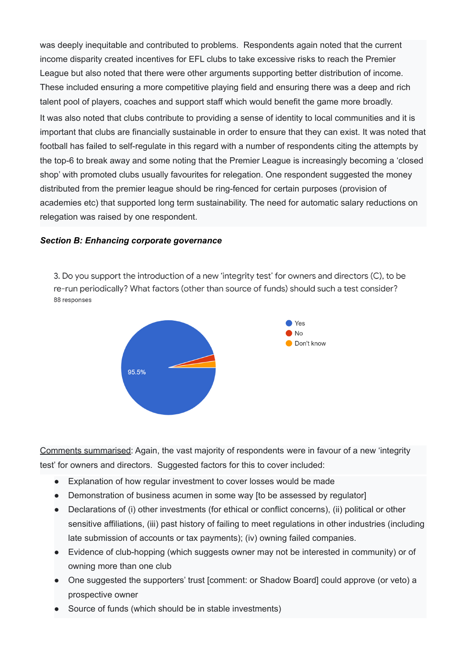was deeply inequitable and contributed to problems. Respondents again noted that the current income disparity created incentives for EFL clubs to take excessive risks to reach the Premier League but also noted that there were other arguments supporting better distribution of income. These included ensuring a more competitive playing field and ensuring there was a deep and rich talent pool of players, coaches and support staff which would benefit the game more broadly. It was also noted that clubs contribute to providing a sense of identity to local communities and it is important that clubs are financially sustainable in order to ensure that they can exist. It was noted that football has failed to self-regulate in this regard with a number of respondents citing the attempts by the top-6 to break away and some noting that the Premier League is increasingly becoming a 'closed shop' with promoted clubs usually favourites for relegation. One respondent suggested the money distributed from the premier league should be ring-fenced for certain purposes (provision of academies etc) that supported long term sustainability. The need for automatic salary reductions on relegation was raised by one respondent.

#### *Section B: Enhancing corporate governance*

3. Do you support the introduction of a new 'integrity test' for owners and directors (C), to be re-run periodically? What factors (other than source of funds) should such a test consider? 88 responses



Comments summarised: Again, the vast majority of respondents were in favour of a new 'integrity test' for owners and directors. Suggested factors for this to cover included:

- Explanation of how regular investment to cover losses would be made
- Demonstration of business acumen in some way [to be assessed by regulator]
- Declarations of (i) other investments (for ethical or conflict concerns), (ii) political or other sensitive affiliations, (iii) past history of failing to meet regulations in other industries (including late submission of accounts or tax payments); (iv) owning failed companies.
- Evidence of club-hopping (which suggests owner may not be interested in community) or of owning more than one club
- One suggested the supporters' trust [comment: or Shadow Board] could approve (or veto) a prospective owner
- Source of funds (which should be in stable investments)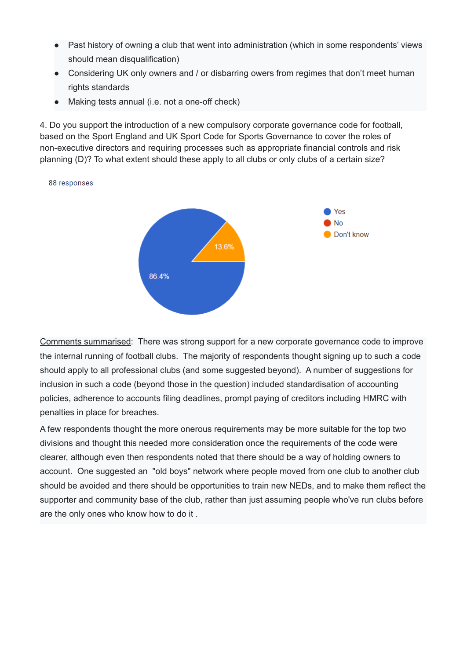- Past history of owning a club that went into administration (which in some respondents' views should mean disqualification)
- Considering UK only owners and / or disbarring owers from regimes that don't meet human rights standards
- Making tests annual (i.e. not a one-off check)

4. Do you support the introduction of a new compulsory corporate governance code for football, based on the Sport England and UK Sport Code for Sports Governance to cover the roles of non-executive directors and requiring processes such as appropriate financial controls and risk planning (D)? To what extent should these apply to all clubs or only clubs of a certain size?



88 responses

Comments summarised: There was strong support for a new corporate governance code to improve the internal running of football clubs. The majority of respondents thought signing up to such a code should apply to all professional clubs (and some suggested beyond). A number of suggestions for inclusion in such a code (beyond those in the question) included standardisation of accounting policies, adherence to accounts filing deadlines, prompt paying of creditors including HMRC with penalties in place for breaches.

A few respondents thought the more onerous requirements may be more suitable for the top two divisions and thought this needed more consideration once the requirements of the code were clearer, although even then respondents noted that there should be a way of holding owners to account. One suggested an "old boys" network where people moved from one club to another club should be avoided and there should be opportunities to train new NEDs, and to make them reflect the supporter and community base of the club, rather than just assuming people who've run clubs before are the only ones who know how to do it .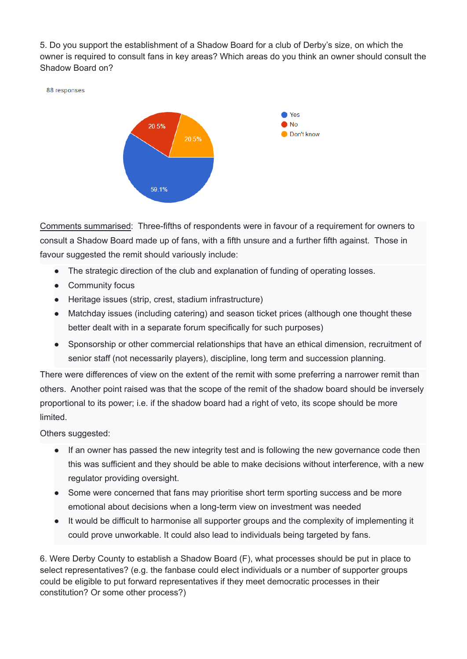5. Do you support the establishment of a Shadow Board for a club of Derby's size, on which the owner is required to consult fans in key areas? Which areas do you think an owner should consult the Shadow Board on?





Comments summarised: Three-fifths of respondents were in favour of a requirement for owners to consult a Shadow Board made up of fans, with a fifth unsure and a further fifth against. Those in favour suggested the remit should variously include:

- The strategic direction of the club and explanation of funding of operating losses.
- Community focus
- Heritage issues (strip, crest, stadium infrastructure)
- Matchday issues (including catering) and season ticket prices (although one thought these better dealt with in a separate forum specifically for such purposes)
- Sponsorship or other commercial relationships that have an ethical dimension, recruitment of senior staff (not necessarily players), discipline, long term and succession planning.

There were differences of view on the extent of the remit with some preferring a narrower remit than others. Another point raised was that the scope of the remit of the shadow board should be inversely proportional to its power; i.e. if the shadow board had a right of veto, its scope should be more limited.

Others suggested:

- If an owner has passed the new integrity test and is following the new governance code then this was sufficient and they should be able to make decisions without interference, with a new regulator providing oversight.
- Some were concerned that fans may prioritise short term sporting success and be more emotional about decisions when a long-term view on investment was needed
- It would be difficult to harmonise all supporter groups and the complexity of implementing it could prove unworkable. It could also lead to individuals being targeted by fans.

6. Were Derby County to establish a Shadow Board (F), what processes should be put in place to select representatives? (e.g. the fanbase could elect individuals or a number of supporter groups could be eligible to put forward representatives if they meet democratic processes in their constitution? Or some other process?)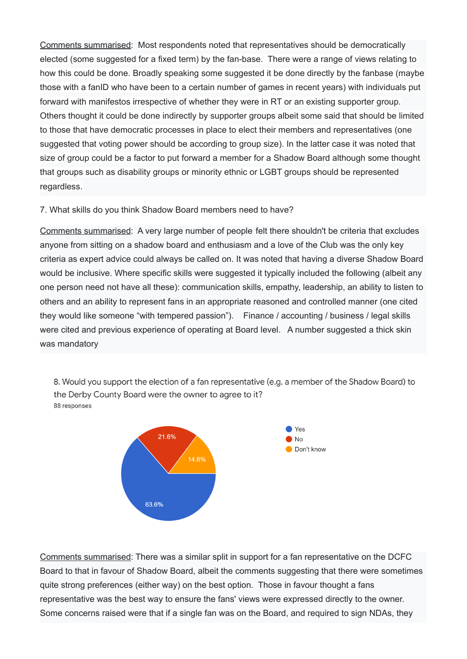Comments summarised: Most respondents noted that representatives should be democratically elected (some suggested for a fixed term) by the fan-base. There were a range of views relating to how this could be done. Broadly speaking some suggested it be done directly by the fanbase (maybe those with a fanID who have been to a certain number of games in recent years) with individuals put forward with manifestos irrespective of whether they were in RT or an existing supporter group. Others thought it could be done indirectly by supporter groups albeit some said that should be limited to those that have democratic processes in place to elect their members and representatives (one suggested that voting power should be according to group size). In the latter case it was noted that size of group could be a factor to put forward a member for a Shadow Board although some thought that groups such as disability groups or minority ethnic or LGBT groups should be represented regardless.

### 7. What skills do you think Shadow Board members need to have?

Comments summarised: A very large number of people felt there shouldn't be criteria that excludes anyone from sitting on a shadow board and enthusiasm and a love of the Club was the only key criteria as expert advice could always be called on. It was noted that having a diverse Shadow Board would be inclusive. Where specific skills were suggested it typically included the following (albeit any one person need not have all these): communication skills, empathy, leadership, an ability to listen to others and an ability to represent fans in an appropriate reasoned and controlled manner (one cited they would like someone "with tempered passion"). Finance / accounting / business / legal skills were cited and previous experience of operating at Board level. A number suggested a thick skin was mandatory

8. Would you support the election of a fan representative (e.g. a member of the Shadow Board) to the Derby County Board were the owner to agree to it? 88 responses



Comments summarised: There was a similar split in support for a fan representative on the DCFC Board to that in favour of Shadow Board, albeit the comments suggesting that there were sometimes quite strong preferences (either way) on the best option. Those in favour thought a fans representative was the best way to ensure the fans' views were expressed directly to the owner. Some concerns raised were that if a single fan was on the Board, and required to sign NDAs, they